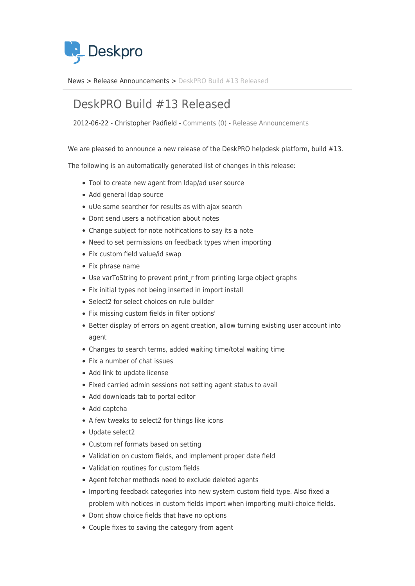

[News](https://support.deskpro.com/sv/news) > [Release Announcements](https://support.deskpro.com/sv/news/release-announcements) > [DeskPRO Build #13 Released](https://support.deskpro.com/sv/news/posts/deskpro-build-13-released)

## DeskPRO Build #13 Released

2012-06-22 - Christopher Padfield - [Comments \(0\)](#page--1-0) - [Release Announcements](https://support.deskpro.com/sv/news/release-announcements)

We are pleased to announce a new release of the DeskPRO helpdesk platform, build #13.

The following is an automatically generated list of changes in this release:

- Tool to create new agent from ldap/ad user source
- Add general Idap source
- uUe same searcher for results as with ajax search
- Dont send users a notification about notes
- Change subject for note notifications to say its a note
- Need to set permissions on feedback types when importing
- Fix custom field value/id swap
- Fix phrase name
- Use varToString to prevent print r from printing large object graphs
- Fix initial types not being inserted in import install
- Select2 for select choices on rule builder
- Fix missing custom fields in filter options'
- Better display of errors on agent creation, allow turning existing user account into agent
- Changes to search terms, added waiting time/total waiting time
- Fix a number of chat issues
- Add link to update license
- Fixed carried admin sessions not setting agent status to avail
- Add downloads tab to portal editor
- Add captcha
- A few tweaks to select2 for things like icons
- Update select2
- Custom ref formats based on setting
- Validation on custom fields, and implement proper date field
- Validation routines for custom fields
- Agent fetcher methods need to exclude deleted agents
- Importing feedback categories into new system custom field type. Also fixed a problem with notices in custom fields import when importing multi-choice fields.
- Dont show choice fields that have no options
- Couple fixes to saving the category from agent